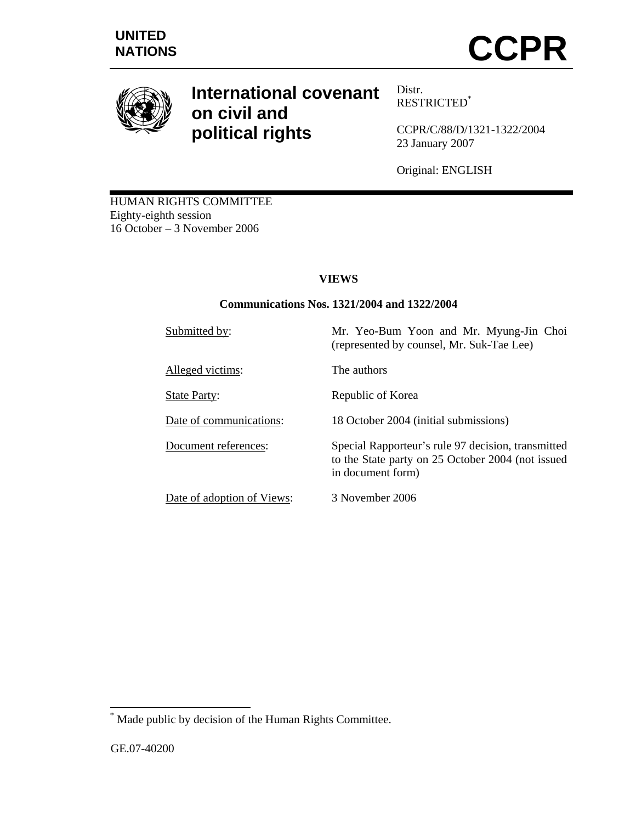

# **International covenant on civil and political rights**

Distr. RESTRICTED\*

CCPR/C/88/D/1321-1322/2004 23 January 2007

Original: ENGLISH

HUMAN RIGHTS COMMITTEE Eighty-eighth session 16 October – 3 November 2006

# **VIEWS**

# **Communications Nos. 1321/2004 and 1322/2004**

| Submitted by:              | Mr. Yeo-Bum Yoon and Mr. Myung-Jin Choi<br>(represented by counsel, Mr. Suk-Tae Lee)                                         |
|----------------------------|------------------------------------------------------------------------------------------------------------------------------|
| Alleged victims:           | The authors                                                                                                                  |
| <b>State Party:</b>        | Republic of Korea                                                                                                            |
| Date of communications:    | 18 October 2004 (initial submissions)                                                                                        |
| Document references:       | Special Rapporteur's rule 97 decision, transmitted<br>to the State party on 25 October 2004 (not issued<br>in document form) |
| Date of adoption of Views: | 3 November 2006                                                                                                              |

 \* Made public by decision of the Human Rights Committee.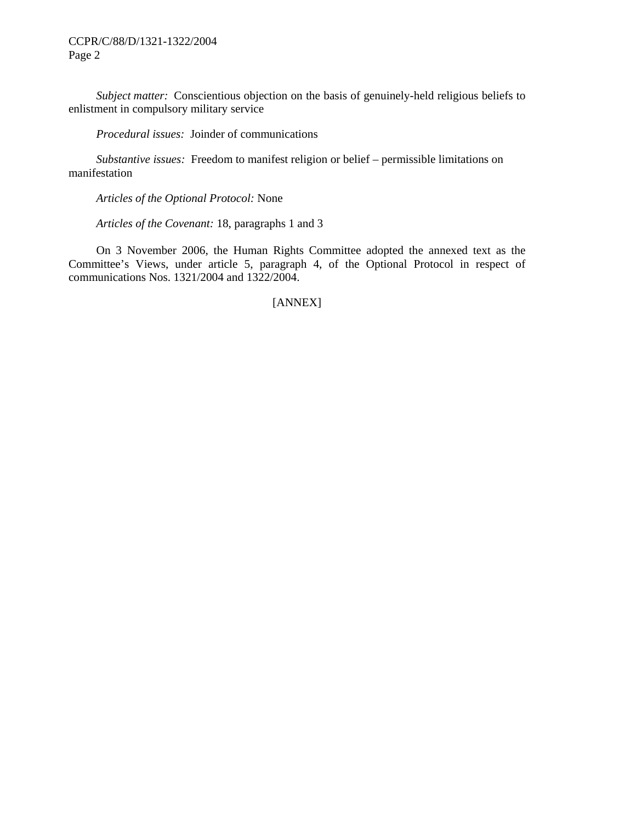*Subject matter:* Conscientious objection on the basis of genuinely-held religious beliefs to enlistment in compulsory military service

 *Procedural issues:* Joinder of communications

 *Substantive issues:* Freedom to manifest religion or belief – permissible limitations on manifestation

 *Articles of the Optional Protocol:* None

 *Articles of the Covenant:* 18, paragraphs 1 and 3

 On 3 November 2006, the Human Rights Committee adopted the annexed text as the Committee's Views, under article 5, paragraph 4, of the Optional Protocol in respect of communications Nos. 1321/2004 and 1322/2004.

## [ANNEX]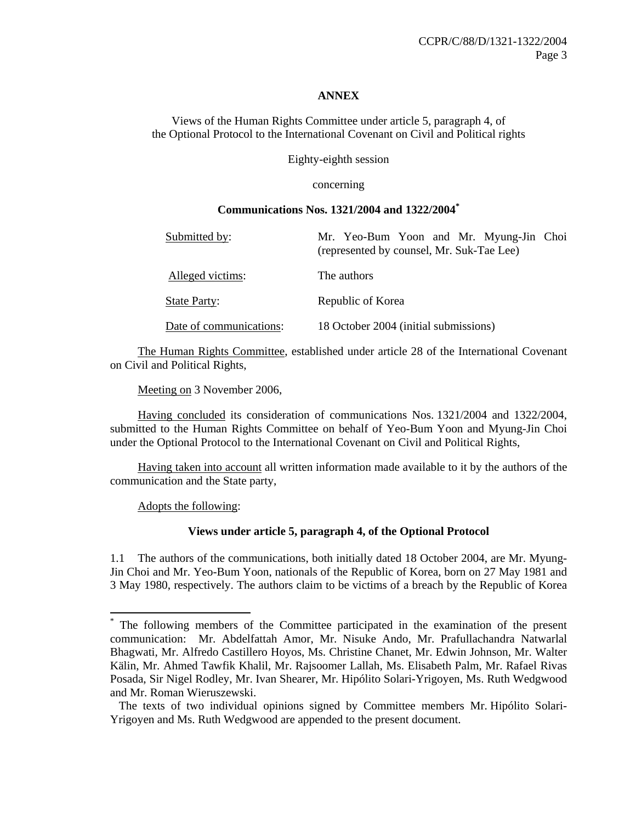#### **ANNEX**

Views of the Human Rights Committee under article 5, paragraph 4, of the Optional Protocol to the International Covenant on Civil and Political rights

Eighty-eighth session

concerning

#### **Communications Nos. 1321/2004 and 1322/2004\***

| Submitted by:           | Mr. Yeo-Bum Yoon and Mr. Myung-Jin Choi<br>(represented by counsel, Mr. Suk-Tae Lee) |
|-------------------------|--------------------------------------------------------------------------------------|
| Alleged victims:        | The authors                                                                          |
| <b>State Party:</b>     | Republic of Korea                                                                    |
| Date of communications: | 18 October 2004 (initial submissions)                                                |

 The Human Rights Committee, established under article 28 of the International Covenant on Civil and Political Rights,

Meeting on 3 November 2006,

 Having concluded its consideration of communications Nos. 1321/2004 and 1322/2004, submitted to the Human Rights Committee on behalf of Yeo-Bum Yoon and Myung-Jin Choi under the Optional Protocol to the International Covenant on Civil and Political Rights,

 Having taken into account all written information made available to it by the authors of the communication and the State party,

Adopts the following:

 $\overline{a}$ 

#### **Views under article 5, paragraph 4, of the Optional Protocol**

1.1 The authors of the communications, both initially dated 18 October 2004, are Mr. Myung-Jin Choi and Mr. Yeo-Bum Yoon, nationals of the Republic of Korea, born on 27 May 1981 and 3 May 1980, respectively. The authors claim to be victims of a breach by the Republic of Korea

<sup>\*</sup> The following members of the Committee participated in the examination of the present communication: Mr. Abdelfattah Amor, Mr. Nisuke Ando, Mr. Prafullachandra Natwarlal Bhagwati, Mr. Alfredo Castillero Hoyos, Ms. Christine Chanet, Mr. Edwin Johnson, Mr. Walter Kälin, Mr. Ahmed Tawfik Khalil, Mr. Rajsoomer Lallah, Ms. Elisabeth Palm, Mr. Rafael Rivas Posada, Sir Nigel Rodley, Mr. Ivan Shearer, Mr. Hipólito Solari-Yrigoyen, Ms. Ruth Wedgwood and Mr. Roman Wieruszewski.

The texts of two individual opinions signed by Committee members Mr. Hipólito Solari-Yrigoyen and Ms. Ruth Wedgwood are appended to the present document.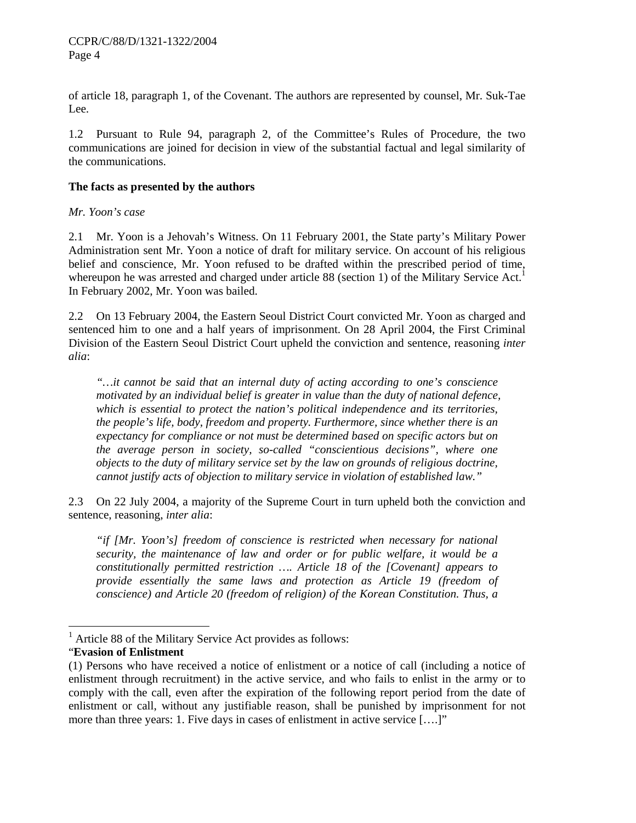of article 18, paragraph 1, of the Covenant. The authors are represented by counsel, Mr. Suk-Tae Lee.

1.2 Pursuant to Rule 94, paragraph 2, of the Committee's Rules of Procedure, the two communications are joined for decision in view of the substantial factual and legal similarity of the communications.

## **The facts as presented by the authors**

#### *Mr. Yoon's case*

2.1 Mr. Yoon is a Jehovah's Witness. On 11 February 2001, the State party's Military Power Administration sent Mr. Yoon a notice of draft for military service. On account of his religious belief and conscience, Mr. Yoon refused to be drafted within the prescribed period of time, whereupon he was arrested and charged under article  $88$  (section 1) of the Military Service Act.<sup>1</sup> In February 2002, Mr. Yoon was bailed.

2.2 On 13 February 2004, the Eastern Seoul District Court convicted Mr. Yoon as charged and sentenced him to one and a half years of imprisonment. On 28 April 2004, the First Criminal Division of the Eastern Seoul District Court upheld the conviction and sentence, reasoning *inter alia*:

*"…it cannot be said that an internal duty of acting according to one's conscience motivated by an individual belief is greater in value than the duty of national defence, which is essential to protect the nation's political independence and its territories, the people's life, body, freedom and property. Furthermore, since whether there is an expectancy for compliance or not must be determined based on specific actors but on the average person in society, so-called "conscientious decisions", where one objects to the duty of military service set by the law on grounds of religious doctrine, cannot justify acts of objection to military service in violation of established law."* 

2.3 On 22 July 2004, a majority of the Supreme Court in turn upheld both the conviction and sentence, reasoning, *inter alia*:

*"if [Mr. Yoon's] freedom of conscience is restricted when necessary for national security, the maintenance of law and order or for public welfare, it would be a constitutionally permitted restriction …. Article 18 of the [Covenant] appears to provide essentially the same laws and protection as Article 19 (freedom of conscience) and Article 20 (freedom of religion) of the Korean Constitution. Thus, a* 

-

<sup>&</sup>lt;sup>1</sup> Article 88 of the Military Service Act provides as follows:

<sup>&</sup>quot;**Evasion of Enlistment** 

<sup>(1)</sup> Persons who have received a notice of enlistment or a notice of call (including a notice of enlistment through recruitment) in the active service, and who fails to enlist in the army or to comply with the call, even after the expiration of the following report period from the date of enlistment or call, without any justifiable reason, shall be punished by imprisonment for not more than three years: 1. Five days in cases of enlistment in active service [….]"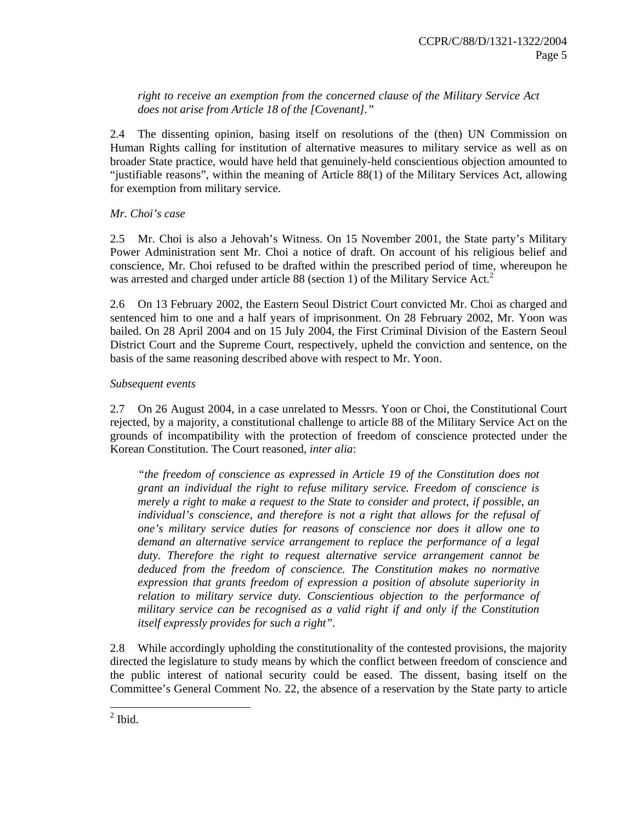*right to receive an exemption from the concerned clause of the Military Service Act does not arise from Article 18 of the [Covenant]."* 

2.4 The dissenting opinion, basing itself on resolutions of the (then) UN Commission on Human Rights calling for institution of alternative measures to military service as well as on broader State practice, would have held that genuinely-held conscientious objection amounted to "justifiable reasons", within the meaning of Article 88(1) of the Military Services Act, allowing for exemption from military service.

# *Mr. Choi's case*

2.5 Mr. Choi is also a Jehovah's Witness. On 15 November 2001, the State party's Military Power Administration sent Mr. Choi a notice of draft. On account of his religious belief and conscience, Mr. Choi refused to be drafted within the prescribed period of time, whereupon he was arrested and charged under article 88 (section 1) of the Military Service Act.<sup>2</sup>

2.6 On 13 February 2002, the Eastern Seoul District Court convicted Mr. Choi as charged and sentenced him to one and a half years of imprisonment. On 28 February 2002, Mr. Yoon was bailed. On 28 April 2004 and on 15 July 2004, the First Criminal Division of the Eastern Seoul District Court and the Supreme Court, respectively, upheld the conviction and sentence, on the basis of the same reasoning described above with respect to Mr. Yoon.

# *Subsequent events*

2.7 On 26 August 2004, in a case unrelated to Messrs. Yoon or Choi, the Constitutional Court rejected, by a majority, a constitutional challenge to article 88 of the Military Service Act on the grounds of incompatibility with the protection of freedom of conscience protected under the Korean Constitution. The Court reasoned, *inter alia*:

*"the freedom of conscience as expressed in Article 19 of the Constitution does not grant an individual the right to refuse military service. Freedom of conscience is merely a right to make a request to the State to consider and protect, if possible, an individual's conscience, and therefore is not a right that allows for the refusal of one's military service duties for reasons of conscience nor does it allow one to demand an alternative service arrangement to replace the performance of a legal duty. Therefore the right to request alternative service arrangement cannot be deduced from the freedom of conscience. The Constitution makes no normative expression that grants freedom of expression a position of absolute superiority in relation to military service duty. Conscientious objection to the performance of military service can be recognised as a valid right if and only if the Constitution itself expressly provides for such a right".* 

2.8 While accordingly upholding the constitutionality of the contested provisions, the majority directed the legislature to study means by which the conflict between freedom of conscience and the public interest of national security could be eased. The dissent, basing itself on the Committee's General Comment No. 22, the absence of a reservation by the State party to article

 $\frac{2}{2}$  Ibid.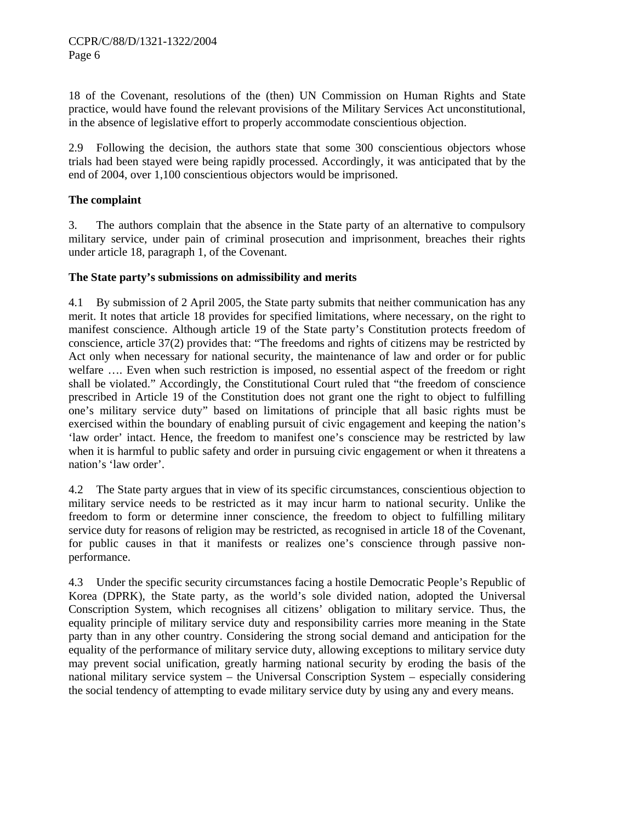18 of the Covenant, resolutions of the (then) UN Commission on Human Rights and State practice, would have found the relevant provisions of the Military Services Act unconstitutional, in the absence of legislative effort to properly accommodate conscientious objection.

2.9 Following the decision, the authors state that some 300 conscientious objectors whose trials had been stayed were being rapidly processed. Accordingly, it was anticipated that by the end of 2004, over 1,100 conscientious objectors would be imprisoned.

# **The complaint**

3. The authors complain that the absence in the State party of an alternative to compulsory military service, under pain of criminal prosecution and imprisonment, breaches their rights under article 18, paragraph 1, of the Covenant.

#### **The State party's submissions on admissibility and merits**

4.1 By submission of 2 April 2005, the State party submits that neither communication has any merit. It notes that article 18 provides for specified limitations, where necessary, on the right to manifest conscience. Although article 19 of the State party's Constitution protects freedom of conscience, article 37(2) provides that: "The freedoms and rights of citizens may be restricted by Act only when necessary for national security, the maintenance of law and order or for public welfare …. Even when such restriction is imposed, no essential aspect of the freedom or right shall be violated." Accordingly, the Constitutional Court ruled that "the freedom of conscience prescribed in Article 19 of the Constitution does not grant one the right to object to fulfilling one's military service duty" based on limitations of principle that all basic rights must be exercised within the boundary of enabling pursuit of civic engagement and keeping the nation's 'law order' intact. Hence, the freedom to manifest one's conscience may be restricted by law when it is harmful to public safety and order in pursuing civic engagement or when it threatens a nation's 'law order'.

4.2 The State party argues that in view of its specific circumstances, conscientious objection to military service needs to be restricted as it may incur harm to national security. Unlike the freedom to form or determine inner conscience, the freedom to object to fulfilling military service duty for reasons of religion may be restricted, as recognised in article 18 of the Covenant, for public causes in that it manifests or realizes one's conscience through passive nonperformance.

4.3 Under the specific security circumstances facing a hostile Democratic People's Republic of Korea (DPRK), the State party, as the world's sole divided nation, adopted the Universal Conscription System, which recognises all citizens' obligation to military service. Thus, the equality principle of military service duty and responsibility carries more meaning in the State party than in any other country. Considering the strong social demand and anticipation for the equality of the performance of military service duty, allowing exceptions to military service duty may prevent social unification, greatly harming national security by eroding the basis of the national military service system – the Universal Conscription System – especially considering the social tendency of attempting to evade military service duty by using any and every means.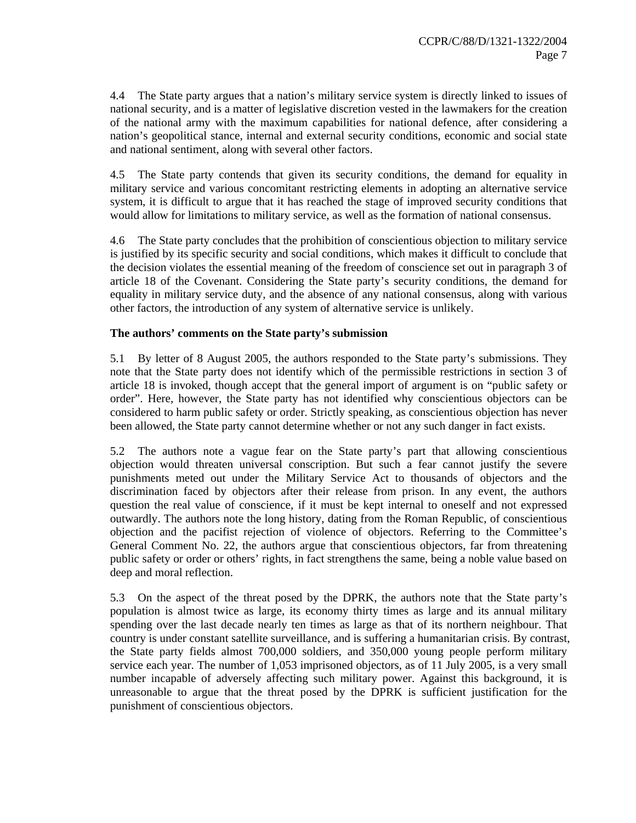4.4 The State party argues that a nation's military service system is directly linked to issues of national security, and is a matter of legislative discretion vested in the lawmakers for the creation of the national army with the maximum capabilities for national defence, after considering a nation's geopolitical stance, internal and external security conditions, economic and social state and national sentiment, along with several other factors.

4.5 The State party contends that given its security conditions, the demand for equality in military service and various concomitant restricting elements in adopting an alternative service system, it is difficult to argue that it has reached the stage of improved security conditions that would allow for limitations to military service, as well as the formation of national consensus.

4.6 The State party concludes that the prohibition of conscientious objection to military service is justified by its specific security and social conditions, which makes it difficult to conclude that the decision violates the essential meaning of the freedom of conscience set out in paragraph 3 of article 18 of the Covenant. Considering the State party's security conditions, the demand for equality in military service duty, and the absence of any national consensus, along with various other factors, the introduction of any system of alternative service is unlikely.

#### **The authors' comments on the State party's submission**

5.1 By letter of 8 August 2005, the authors responded to the State party's submissions. They note that the State party does not identify which of the permissible restrictions in section 3 of article 18 is invoked, though accept that the general import of argument is on "public safety or order". Here, however, the State party has not identified why conscientious objectors can be considered to harm public safety or order. Strictly speaking, as conscientious objection has never been allowed, the State party cannot determine whether or not any such danger in fact exists.

5.2 The authors note a vague fear on the State party's part that allowing conscientious objection would threaten universal conscription. But such a fear cannot justify the severe punishments meted out under the Military Service Act to thousands of objectors and the discrimination faced by objectors after their release from prison. In any event, the authors question the real value of conscience, if it must be kept internal to oneself and not expressed outwardly. The authors note the long history, dating from the Roman Republic, of conscientious objection and the pacifist rejection of violence of objectors. Referring to the Committee's General Comment No. 22, the authors argue that conscientious objectors, far from threatening public safety or order or others' rights, in fact strengthens the same, being a noble value based on deep and moral reflection.

5.3 On the aspect of the threat posed by the DPRK, the authors note that the State party's population is almost twice as large, its economy thirty times as large and its annual military spending over the last decade nearly ten times as large as that of its northern neighbour. That country is under constant satellite surveillance, and is suffering a humanitarian crisis. By contrast, the State party fields almost 700,000 soldiers, and 350,000 young people perform military service each year. The number of 1,053 imprisoned objectors, as of 11 July 2005, is a very small number incapable of adversely affecting such military power. Against this background, it is unreasonable to argue that the threat posed by the DPRK is sufficient justification for the punishment of conscientious objectors.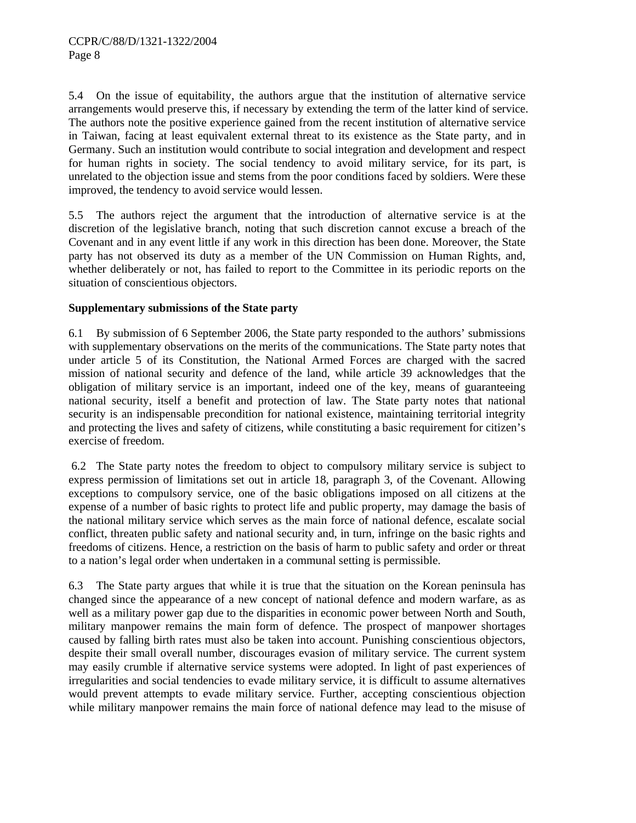5.4 On the issue of equitability, the authors argue that the institution of alternative service arrangements would preserve this, if necessary by extending the term of the latter kind of service. The authors note the positive experience gained from the recent institution of alternative service in Taiwan, facing at least equivalent external threat to its existence as the State party, and in Germany. Such an institution would contribute to social integration and development and respect for human rights in society. The social tendency to avoid military service, for its part, is unrelated to the objection issue and stems from the poor conditions faced by soldiers. Were these improved, the tendency to avoid service would lessen.

5.5 The authors reject the argument that the introduction of alternative service is at the discretion of the legislative branch, noting that such discretion cannot excuse a breach of the Covenant and in any event little if any work in this direction has been done. Moreover, the State party has not observed its duty as a member of the UN Commission on Human Rights, and, whether deliberately or not, has failed to report to the Committee in its periodic reports on the situation of conscientious objectors.

#### **Supplementary submissions of the State party**

6.1 By submission of 6 September 2006, the State party responded to the authors' submissions with supplementary observations on the merits of the communications. The State party notes that under article 5 of its Constitution, the National Armed Forces are charged with the sacred mission of national security and defence of the land, while article 39 acknowledges that the obligation of military service is an important, indeed one of the key, means of guaranteeing national security, itself a benefit and protection of law. The State party notes that national security is an indispensable precondition for national existence, maintaining territorial integrity and protecting the lives and safety of citizens, while constituting a basic requirement for citizen's exercise of freedom.

 6.2 The State party notes the freedom to object to compulsory military service is subject to express permission of limitations set out in article 18, paragraph 3, of the Covenant. Allowing exceptions to compulsory service, one of the basic obligations imposed on all citizens at the expense of a number of basic rights to protect life and public property, may damage the basis of the national military service which serves as the main force of national defence, escalate social conflict, threaten public safety and national security and, in turn, infringe on the basic rights and freedoms of citizens. Hence, a restriction on the basis of harm to public safety and order or threat to a nation's legal order when undertaken in a communal setting is permissible.

6.3 The State party argues that while it is true that the situation on the Korean peninsula has changed since the appearance of a new concept of national defence and modern warfare, as as well as a military power gap due to the disparities in economic power between North and South, military manpower remains the main form of defence. The prospect of manpower shortages caused by falling birth rates must also be taken into account. Punishing conscientious objectors, despite their small overall number, discourages evasion of military service. The current system may easily crumble if alternative service systems were adopted. In light of past experiences of irregularities and social tendencies to evade military service, it is difficult to assume alternatives would prevent attempts to evade military service. Further, accepting conscientious objection while military manpower remains the main force of national defence may lead to the misuse of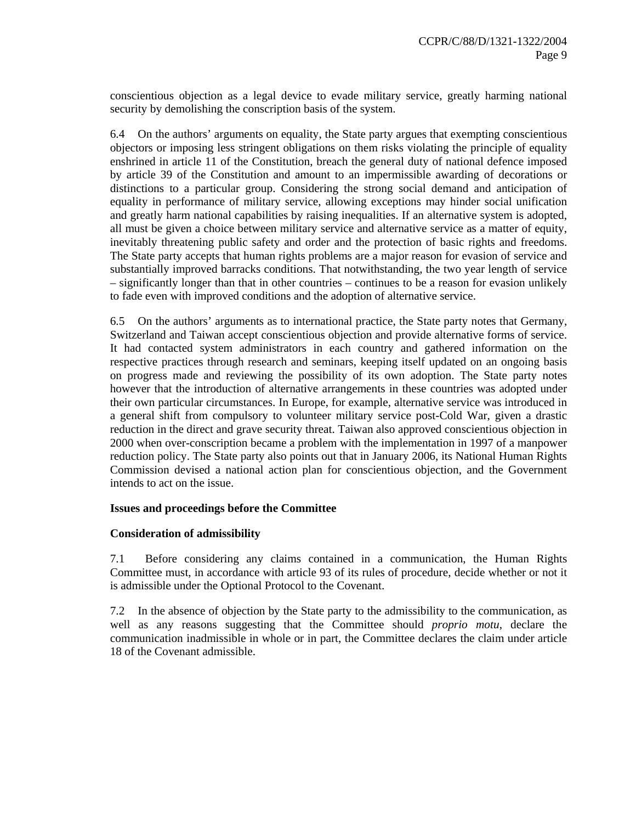conscientious objection as a legal device to evade military service, greatly harming national security by demolishing the conscription basis of the system.

6.4 On the authors' arguments on equality, the State party argues that exempting conscientious objectors or imposing less stringent obligations on them risks violating the principle of equality enshrined in article 11 of the Constitution, breach the general duty of national defence imposed by article 39 of the Constitution and amount to an impermissible awarding of decorations or distinctions to a particular group. Considering the strong social demand and anticipation of equality in performance of military service, allowing exceptions may hinder social unification and greatly harm national capabilities by raising inequalities. If an alternative system is adopted, all must be given a choice between military service and alternative service as a matter of equity, inevitably threatening public safety and order and the protection of basic rights and freedoms. The State party accepts that human rights problems are a major reason for evasion of service and substantially improved barracks conditions. That notwithstanding, the two year length of service – significantly longer than that in other countries – continues to be a reason for evasion unlikely to fade even with improved conditions and the adoption of alternative service.

6.5 On the authors' arguments as to international practice, the State party notes that Germany, Switzerland and Taiwan accept conscientious objection and provide alternative forms of service. It had contacted system administrators in each country and gathered information on the respective practices through research and seminars, keeping itself updated on an ongoing basis on progress made and reviewing the possibility of its own adoption. The State party notes however that the introduction of alternative arrangements in these countries was adopted under their own particular circumstances. In Europe, for example, alternative service was introduced in a general shift from compulsory to volunteer military service post-Cold War, given a drastic reduction in the direct and grave security threat. Taiwan also approved conscientious objection in 2000 when over-conscription became a problem with the implementation in 1997 of a manpower reduction policy. The State party also points out that in January 2006, its National Human Rights Commission devised a national action plan for conscientious objection, and the Government intends to act on the issue.

#### **Issues and proceedings before the Committee**

#### **Consideration of admissibility**

7.1 Before considering any claims contained in a communication, the Human Rights Committee must, in accordance with article 93 of its rules of procedure, decide whether or not it is admissible under the Optional Protocol to the Covenant.

7.2 In the absence of objection by the State party to the admissibility to the communication, as well as any reasons suggesting that the Committee should *proprio motu*, declare the communication inadmissible in whole or in part, the Committee declares the claim under article 18 of the Covenant admissible.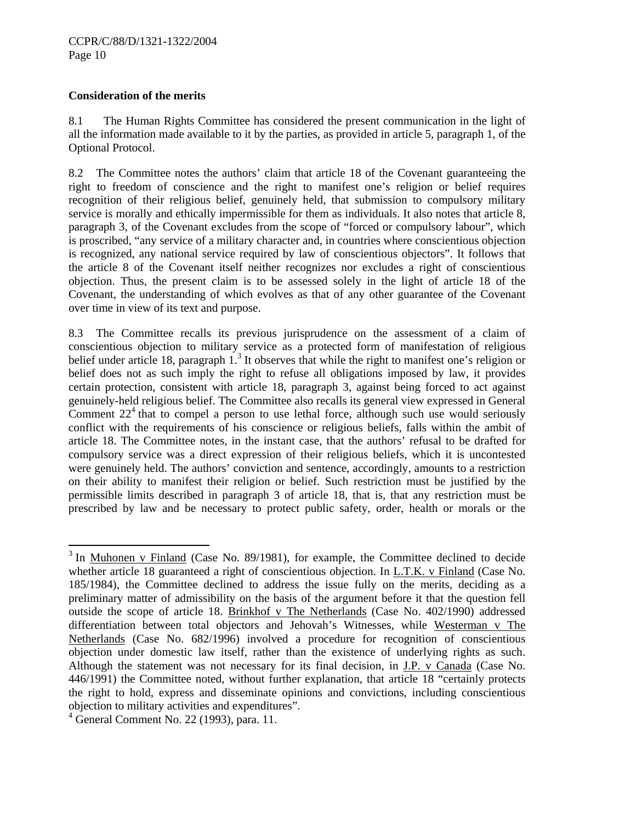# **Consideration of the merits**

8.1 The Human Rights Committee has considered the present communication in the light of all the information made available to it by the parties, as provided in article 5, paragraph 1, of the Optional Protocol.

8.2 The Committee notes the authors' claim that article 18 of the Covenant guaranteeing the right to freedom of conscience and the right to manifest one's religion or belief requires recognition of their religious belief, genuinely held, that submission to compulsory military service is morally and ethically impermissible for them as individuals. It also notes that article 8, paragraph 3, of the Covenant excludes from the scope of "forced or compulsory labour", which is proscribed, "any service of a military character and, in countries where conscientious objection is recognized, any national service required by law of conscientious objectors". It follows that the article 8 of the Covenant itself neither recognizes nor excludes a right of conscientious objection. Thus, the present claim is to be assessed solely in the light of article 18 of the Covenant, the understanding of which evolves as that of any other guarantee of the Covenant over time in view of its text and purpose.

8.3 The Committee recalls its previous jurisprudence on the assessment of a claim of conscientious objection to military service as a protected form of manifestation of religious belief under article 18, paragraph  $1<sup>3</sup>$  It observes that while the right to manifest one's religion or belief does not as such imply the right to refuse all obligations imposed by law, it provides certain protection, consistent with article 18, paragraph 3, against being forced to act against genuinely-held religious belief. The Committee also recalls its general view expressed in General Comment  $22<sup>4</sup>$  that to compel a person to use lethal force, although such use would seriously conflict with the requirements of his conscience or religious beliefs, falls within the ambit of article 18. The Committee notes, in the instant case, that the authors' refusal to be drafted for compulsory service was a direct expression of their religious beliefs, which it is uncontested were genuinely held. The authors' conviction and sentence, accordingly, amounts to a restriction on their ability to manifest their religion or belief. Such restriction must be justified by the permissible limits described in paragraph 3 of article 18, that is, that any restriction must be prescribed by law and be necessary to protect public safety, order, health or morals or the

-

 $3$  In Muhonen v Finland (Case No. 89/1981), for example, the Committee declined to decide whether article 18 guaranteed a right of conscientious objection. In L.T.K. v Finland (Case No. 185/1984), the Committee declined to address the issue fully on the merits, deciding as a preliminary matter of admissibility on the basis of the argument before it that the question fell outside the scope of article 18. Brinkhof v The Netherlands (Case No. 402/1990) addressed differentiation between total objectors and Jehovah's Witnesses, while Westerman v The Netherlands (Case No. 682/1996) involved a procedure for recognition of conscientious objection under domestic law itself, rather than the existence of underlying rights as such. Although the statement was not necessary for its final decision, in J.P. v Canada (Case No. 446/1991) the Committee noted, without further explanation, that article 18 "certainly protects the right to hold, express and disseminate opinions and convictions, including conscientious objection to military activities and expenditures".

<sup>4</sup> General Comment No. 22 (1993), para. 11.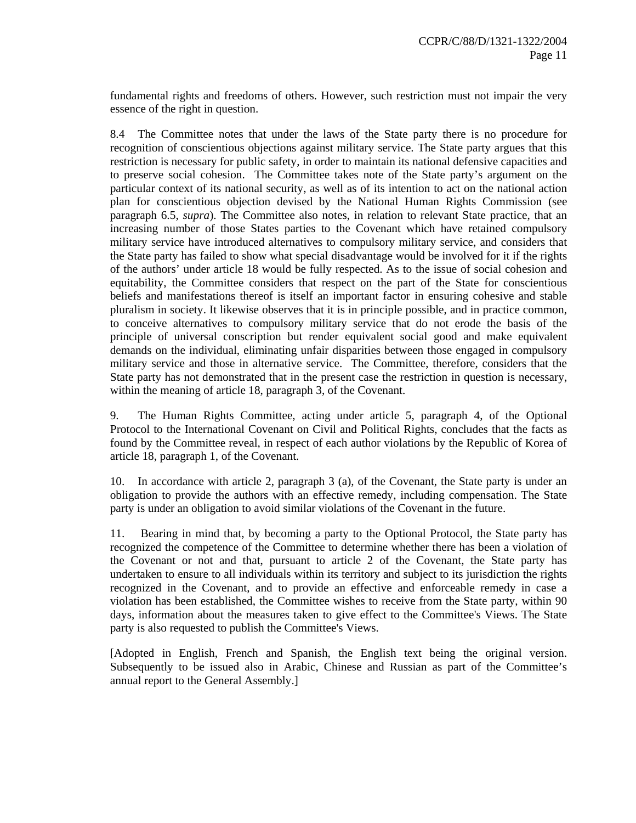fundamental rights and freedoms of others. However, such restriction must not impair the very essence of the right in question.

8.4 The Committee notes that under the laws of the State party there is no procedure for recognition of conscientious objections against military service. The State party argues that this restriction is necessary for public safety, in order to maintain its national defensive capacities and to preserve social cohesion. The Committee takes note of the State party's argument on the particular context of its national security, as well as of its intention to act on the national action plan for conscientious objection devised by the National Human Rights Commission (see paragraph 6.5, *supra*). The Committee also notes, in relation to relevant State practice, that an increasing number of those States parties to the Covenant which have retained compulsory military service have introduced alternatives to compulsory military service, and considers that the State party has failed to show what special disadvantage would be involved for it if the rights of the authors' under article 18 would be fully respected. As to the issue of social cohesion and equitability, the Committee considers that respect on the part of the State for conscientious beliefs and manifestations thereof is itself an important factor in ensuring cohesive and stable pluralism in society. It likewise observes that it is in principle possible, and in practice common, to conceive alternatives to compulsory military service that do not erode the basis of the principle of universal conscription but render equivalent social good and make equivalent demands on the individual, eliminating unfair disparities between those engaged in compulsory military service and those in alternative service. The Committee, therefore, considers that the State party has not demonstrated that in the present case the restriction in question is necessary, within the meaning of article 18, paragraph 3, of the Covenant.

9. The Human Rights Committee, acting under article 5, paragraph 4, of the Optional Protocol to the International Covenant on Civil and Political Rights, concludes that the facts as found by the Committee reveal, in respect of each author violations by the Republic of Korea of article 18, paragraph 1, of the Covenant.

10. In accordance with article 2, paragraph 3 (a), of the Covenant, the State party is under an obligation to provide the authors with an effective remedy, including compensation. The State party is under an obligation to avoid similar violations of the Covenant in the future.

11. Bearing in mind that, by becoming a party to the Optional Protocol, the State party has recognized the competence of the Committee to determine whether there has been a violation of the Covenant or not and that, pursuant to article 2 of the Covenant, the State party has undertaken to ensure to all individuals within its territory and subject to its jurisdiction the rights recognized in the Covenant, and to provide an effective and enforceable remedy in case a violation has been established, the Committee wishes to receive from the State party, within 90 days, information about the measures taken to give effect to the Committee's Views. The State party is also requested to publish the Committee's Views.

[Adopted in English, French and Spanish, the English text being the original version. Subsequently to be issued also in Arabic, Chinese and Russian as part of the Committee's annual report to the General Assembly.]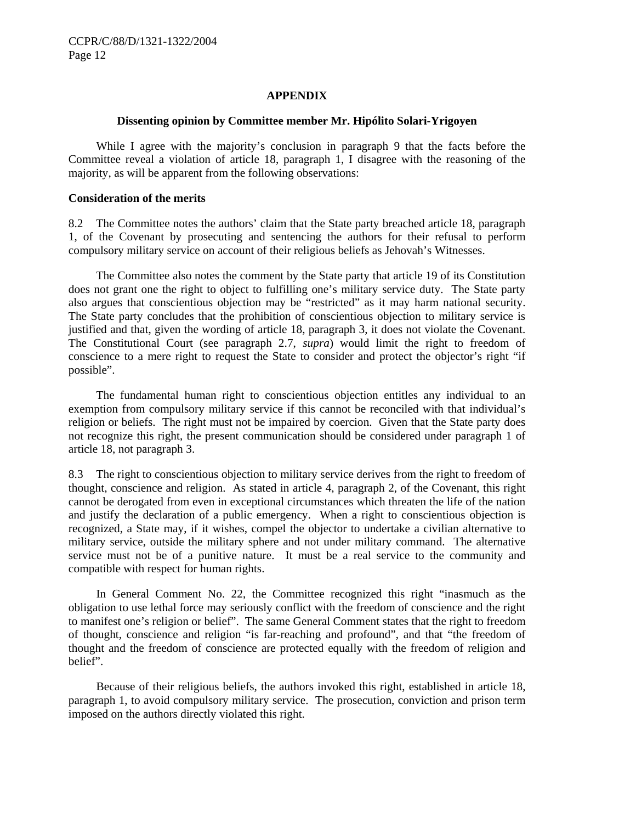#### **APPENDIX**

#### **Dissenting opinion by Committee member Mr. Hipólito Solari-Yrigoyen**

 While I agree with the majority's conclusion in paragraph 9 that the facts before the Committee reveal a violation of article 18, paragraph 1, I disagree with the reasoning of the majority, as will be apparent from the following observations:

#### **Consideration of the merits**

8.2 The Committee notes the authors' claim that the State party breached article 18, paragraph 1, of the Covenant by prosecuting and sentencing the authors for their refusal to perform compulsory military service on account of their religious beliefs as Jehovah's Witnesses.

 The Committee also notes the comment by the State party that article 19 of its Constitution does not grant one the right to object to fulfilling one's military service duty. The State party also argues that conscientious objection may be "restricted" as it may harm national security. The State party concludes that the prohibition of conscientious objection to military service is justified and that, given the wording of article 18, paragraph 3, it does not violate the Covenant. The Constitutional Court (see paragraph 2.7, *supra*) would limit the right to freedom of conscience to a mere right to request the State to consider and protect the objector's right "if possible".

 The fundamental human right to conscientious objection entitles any individual to an exemption from compulsory military service if this cannot be reconciled with that individual's religion or beliefs. The right must not be impaired by coercion. Given that the State party does not recognize this right, the present communication should be considered under paragraph 1 of article 18, not paragraph 3.

8.3 The right to conscientious objection to military service derives from the right to freedom of thought, conscience and religion. As stated in article 4, paragraph 2, of the Covenant, this right cannot be derogated from even in exceptional circumstances which threaten the life of the nation and justify the declaration of a public emergency. When a right to conscientious objection is recognized, a State may, if it wishes, compel the objector to undertake a civilian alternative to military service, outside the military sphere and not under military command. The alternative service must not be of a punitive nature. It must be a real service to the community and compatible with respect for human rights.

 In General Comment No. 22, the Committee recognized this right "inasmuch as the obligation to use lethal force may seriously conflict with the freedom of conscience and the right to manifest one's religion or belief". The same General Comment states that the right to freedom of thought, conscience and religion "is far-reaching and profound", and that "the freedom of thought and the freedom of conscience are protected equally with the freedom of religion and belief".

 Because of their religious beliefs, the authors invoked this right, established in article 18, paragraph 1, to avoid compulsory military service. The prosecution, conviction and prison term imposed on the authors directly violated this right.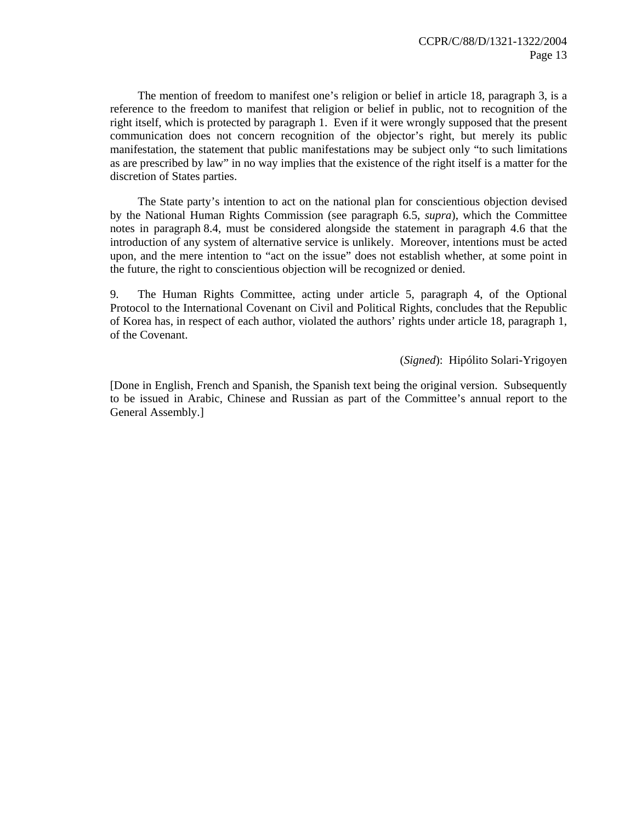The mention of freedom to manifest one's religion or belief in article 18, paragraph 3, is a reference to the freedom to manifest that religion or belief in public, not to recognition of the right itself, which is protected by paragraph 1. Even if it were wrongly supposed that the present communication does not concern recognition of the objector's right, but merely its public manifestation, the statement that public manifestations may be subject only "to such limitations as are prescribed by law" in no way implies that the existence of the right itself is a matter for the discretion of States parties.

 The State party's intention to act on the national plan for conscientious objection devised by the National Human Rights Commission (see paragraph 6.5, *supra*), which the Committee notes in paragraph 8.4, must be considered alongside the statement in paragraph 4.6 that the introduction of any system of alternative service is unlikely. Moreover, intentions must be acted upon, and the mere intention to "act on the issue" does not establish whether, at some point in the future, the right to conscientious objection will be recognized or denied.

9. The Human Rights Committee, acting under article 5, paragraph 4, of the Optional Protocol to the International Covenant on Civil and Political Rights, concludes that the Republic of Korea has, in respect of each author, violated the authors' rights under article 18, paragraph 1, of the Covenant.

(*Signed*): Hipólito Solari-Yrigoyen

[Done in English, French and Spanish, the Spanish text being the original version. Subsequently to be issued in Arabic, Chinese and Russian as part of the Committee's annual report to the General Assembly.]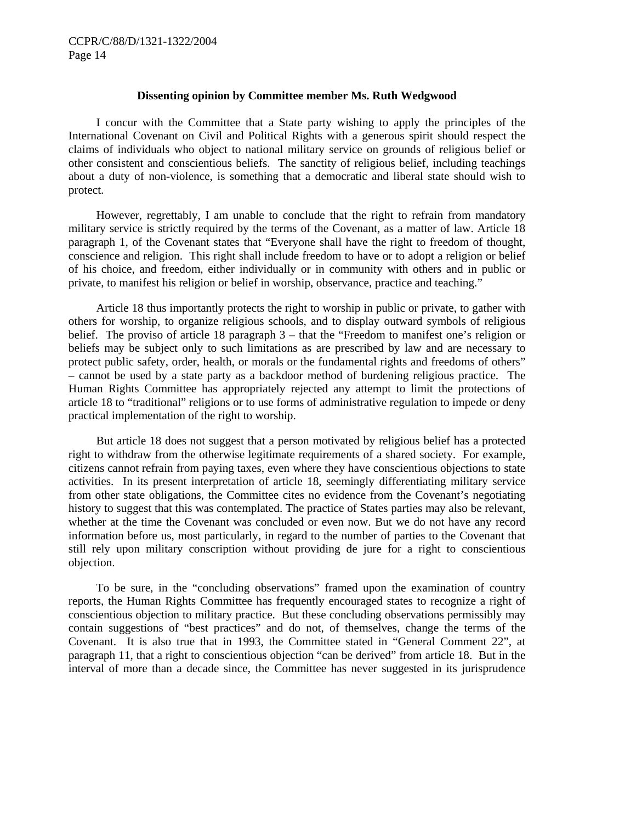#### **Dissenting opinion by Committee member Ms. Ruth Wedgwood**

 I concur with the Committee that a State party wishing to apply the principles of the International Covenant on Civil and Political Rights with a generous spirit should respect the claims of individuals who object to national military service on grounds of religious belief or other consistent and conscientious beliefs. The sanctity of religious belief, including teachings about a duty of non-violence, is something that a democratic and liberal state should wish to protect.

 However, regrettably, I am unable to conclude that the right to refrain from mandatory military service is strictly required by the terms of the Covenant, as a matter of law. Article 18 paragraph 1, of the Covenant states that "Everyone shall have the right to freedom of thought, conscience and religion. This right shall include freedom to have or to adopt a religion or belief of his choice, and freedom, either individually or in community with others and in public or private, to manifest his religion or belief in worship, observance, practice and teaching."

 Article 18 thus importantly protects the right to worship in public or private, to gather with others for worship, to organize religious schools, and to display outward symbols of religious belief. The proviso of article 18 paragraph 3 – that the "Freedom to manifest one's religion or beliefs may be subject only to such limitations as are prescribed by law and are necessary to protect public safety, order, health, or morals or the fundamental rights and freedoms of others" – cannot be used by a state party as a backdoor method of burdening religious practice. The Human Rights Committee has appropriately rejected any attempt to limit the protections of article 18 to "traditional" religions or to use forms of administrative regulation to impede or deny practical implementation of the right to worship.

 But article 18 does not suggest that a person motivated by religious belief has a protected right to withdraw from the otherwise legitimate requirements of a shared society. For example, citizens cannot refrain from paying taxes, even where they have conscientious objections to state activities. In its present interpretation of article 18, seemingly differentiating military service from other state obligations, the Committee cites no evidence from the Covenant's negotiating history to suggest that this was contemplated. The practice of States parties may also be relevant, whether at the time the Covenant was concluded or even now. But we do not have any record information before us, most particularly, in regard to the number of parties to the Covenant that still rely upon military conscription without providing de jure for a right to conscientious objection.

 To be sure, in the "concluding observations" framed upon the examination of country reports, the Human Rights Committee has frequently encouraged states to recognize a right of conscientious objection to military practice. But these concluding observations permissibly may contain suggestions of "best practices" and do not, of themselves, change the terms of the Covenant. It is also true that in 1993, the Committee stated in "General Comment 22", at paragraph 11, that a right to conscientious objection "can be derived" from article 18. But in the interval of more than a decade since, the Committee has never suggested in its jurisprudence